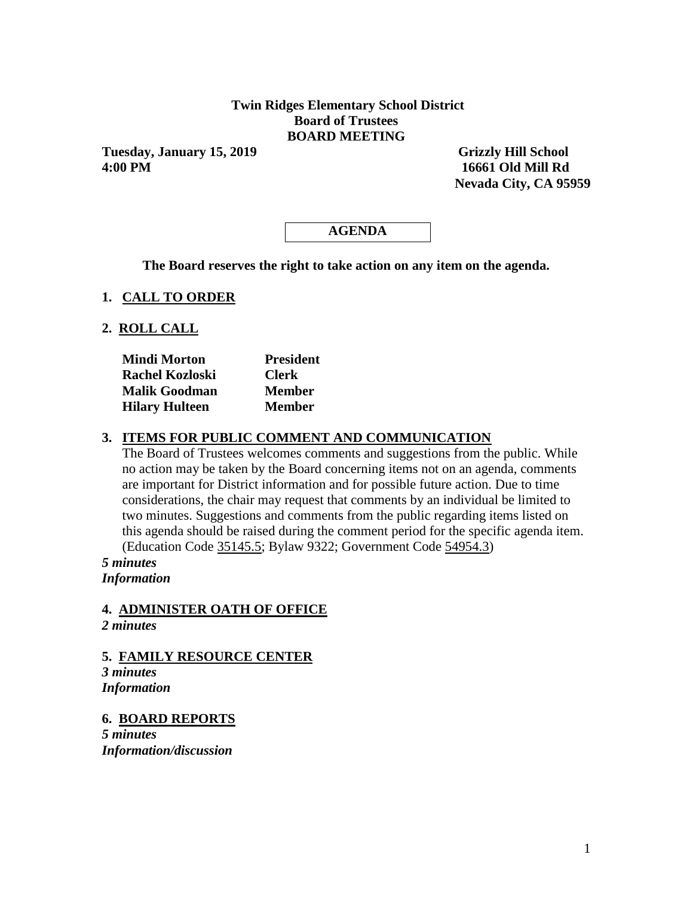### **Twin Ridges Elementary School District Board of Trustees BOARD MEETING**

**Tuesday, January 15, 2019 Grizzly Hill School 4:00 PM 16661 Old Mill Rd**

 **Nevada City, CA 95959** 

# **AGENDA**

**The Board reserves the right to take action on any item on the agenda.**

#### **1. CALL TO ORDER**

#### **2. ROLL CALL**

| <b>Mindi Morton</b>   | <b>President</b> |  |  |  |
|-----------------------|------------------|--|--|--|
| Rachel Kozloski       | <b>Clerk</b>     |  |  |  |
| <b>Malik Goodman</b>  | <b>Member</b>    |  |  |  |
| <b>Hilary Hulteen</b> | <b>Member</b>    |  |  |  |

### **3. ITEMS FOR PUBLIC COMMENT AND COMMUNICATION**

The Board of Trustees welcomes comments and suggestions from the public. While no action may be taken by the Board concerning items not on an agenda, comments are important for District information and for possible future action. Due to time considerations, the chair may request that comments by an individual be limited to two minutes. Suggestions and comments from the public regarding items listed on this agenda should be raised during the comment period for the specific agenda item. (Education Code 35145.5; Bylaw 9322; Government Code 54954.3)

*5 minutes Information*

### **4. ADMINISTER OATH OF OFFICE**

*2 minutes*

**5. FAMILY RESOURCE CENTER** *3 minutes Information*

**6. BOARD REPORTS**

*5 minutes Information/discussion*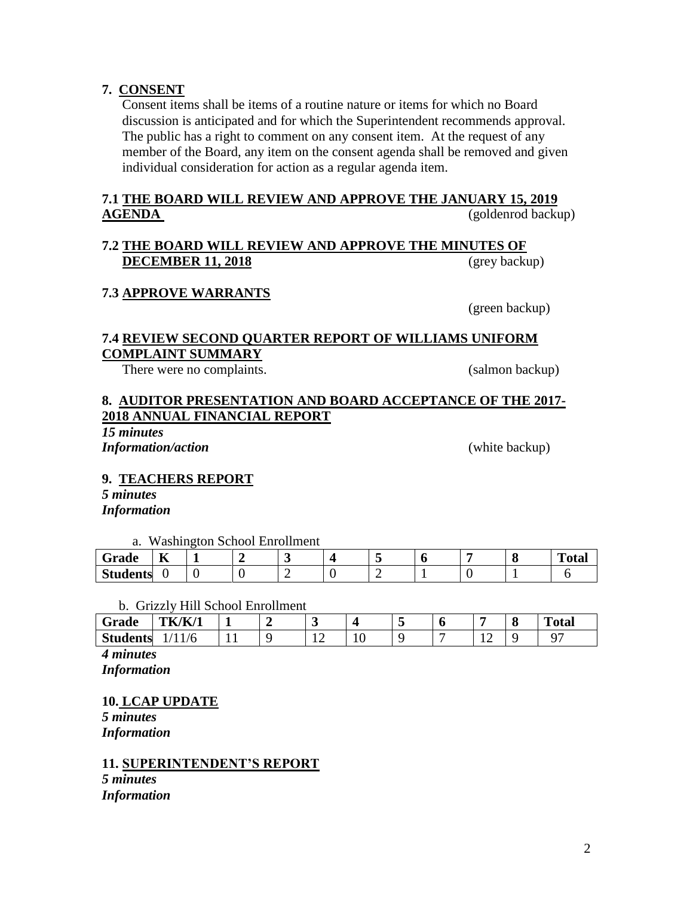**7. CONSENT**

Consent items shall be items of a routine nature or items for which no Board discussion is anticipated and for which the Superintendent recommends approval. The public has a right to comment on any consent item. At the request of any member of the Board, any item on the consent agenda shall be removed and given individual consideration for action as a regular agenda item.

# **7.1 THE BOARD WILL REVIEW AND APPROVE THE JANUARY 15, 2019 AGENDA** (goldenrod backup)

## **7.2 THE BOARD WILL REVIEW AND APPROVE THE MINUTES OF DECEMBER 11, 2018** (grey backup)

# **7.3 APPROVE WARRANTS**

(green backup)

# **7.4 REVIEW SECOND QUARTER REPORT OF WILLIAMS UNIFORM COMPLAINT SUMMARY**

There were no complaints. (salmon backup)

# **8. AUDITOR PRESENTATION AND BOARD ACCEPTANCE OF THE 2017- 2018 ANNUAL FINANCIAL REPORT**

*15 minutes Information/action* (white backup)

# **9. TEACHERS REPORT**

*5 minutes Information*

a. Washington School Enrollment

| $\overline{\phantom{a}}$<br>Grade | $-$<br>TZ |  |  |  |  | m<br>''otan |
|-----------------------------------|-----------|--|--|--|--|-------------|
| <b>Students</b>                   |           |  |  |  |  |             |

### b. Grizzly Hill School Enrollment

| ∼<br>Grade      | <b>TK/K/1</b> |     |           |     |  |           | C | <b>Total</b> |
|-----------------|---------------|-----|-----------|-----|--|-----------|---|--------------|
| <b>Students</b> | $\pm 10$      | . . | --<br>$-$ | 1 V |  | <b>TH</b> |   |              |

*4 minutes Information*

# **10. LCAP UPDATE**

*5 minutes Information*

**11. SUPERINTENDENT'S REPORT** *5 minutes*

*Information*

2